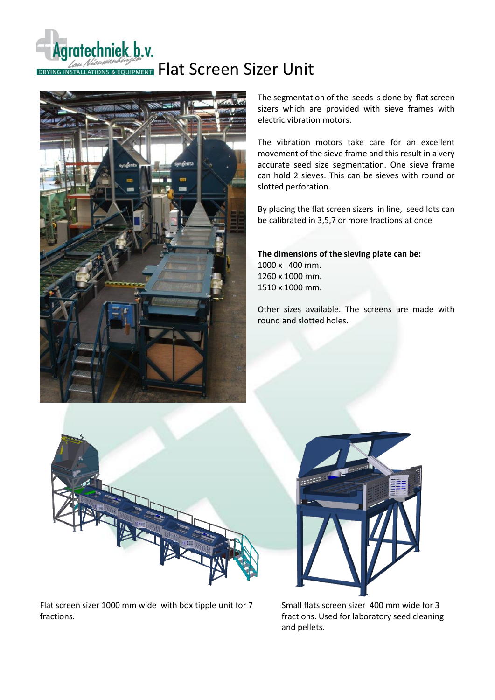# Agratechniek b.v. DRYING INSTALLATIONS & EQUIPMENT Flat Screen Sizer Unit



The segmentation of the seeds is done by flat screen sizers which are provided with sieve frames with electric vibration motors.

The vibration motors take care for an excellent movement of the sieve frame and this result in a very accurate seed size segmentation. One sieve frame can hold 2 sieves. This can be sieves with round or slotted perforation.

By placing the flat screen sizers in line, seed lots can be calibrated in 3,5,7 or more fractions at once

**The dimensions of the sieving plate can be:** 1000 x 400 mm. 1260 x 1000 mm. 1510 x 1000 mm.

Other sizes available. The screens are made with round and slotted holes.



Flat screen sizer 1000 mm wide with box tipple unit for 7 fractions.



Small flats screen sizer 400 mm wide for 3 fractions. Used for laboratory seed cleaning and pellets.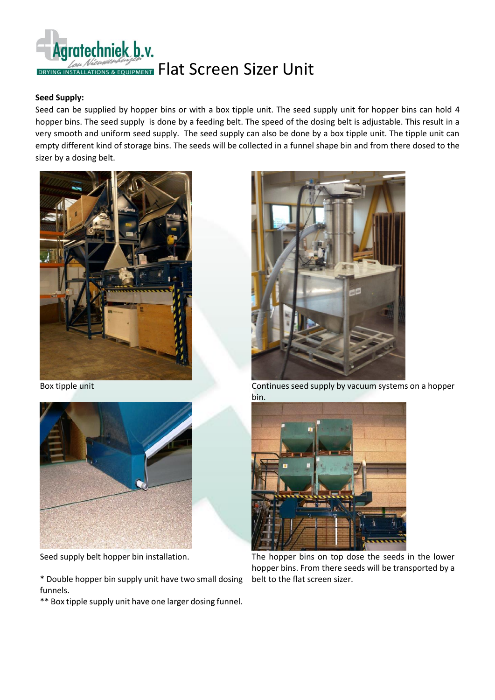

### **Seed Supply:**

Seed can be supplied by hopper bins or with a box tipple unit. The seed supply unit for hopper bins can hold 4 hopper bins. The seed supply is done by a feeding belt. The speed of the dosing belt is adjustable. This result in a very smooth and uniform seed supply. The seed supply can also be done by a box tipple unit. The tipple unit can empty different kind of storage bins. The seeds will be collected in a funnel shape bin and from there dosed to the sizer by a dosing belt.





Seed supply belt hopper bin installation.

\* Double hopper bin supply unit have two small dosing funnels.

\*\* Box tipple supply unit have one larger dosing funnel.



Box tipple unit Continues seed supply by vacuum systems on a hopper bin.



The hopper bins on top dose the seeds in the lower hopper bins. From there seeds will be transported by a belt to the flat screen sizer.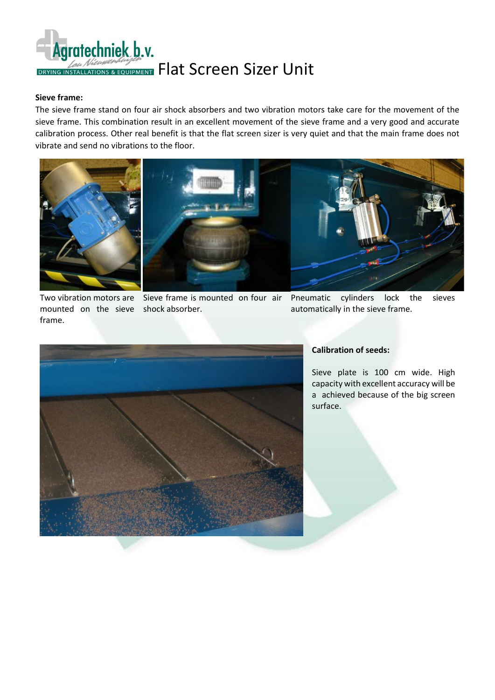

#### **Sieve frame:**

The sieve frame stand on four air shock absorbers and two vibration motors take care for the movement of the sieve frame. This combination result in an excellent movement of the sieve frame and a very good and accurate calibration process. Other real benefit is that the flat screen sizer is very quiet and that the main frame does not vibrate and send no vibrations to the floor.



mounted on the sieve shock absorber. frame.

Two vibration motors are Sieve frame is mounted on four air

cylinders lock the sieves automatically in the sieve frame.



#### **Calibration of seeds:**

Sieve plate is 100 cm wide. High capacity with excellent accuracy will be a achieved because of the big screen surface.